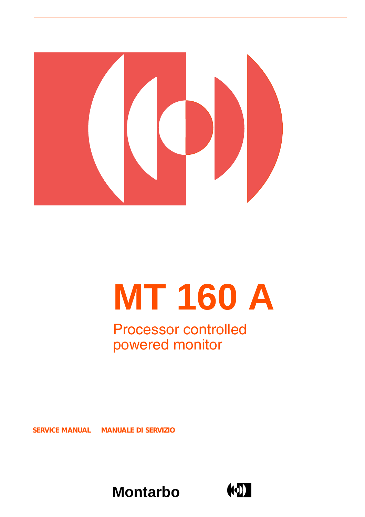

# **MT 160 A**

### Processor controlled powered monitor

**SERVICE MANUAL** *MANUALE DI SERVIZIO*



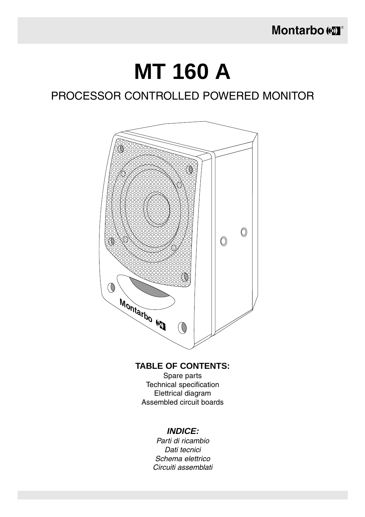## **MT 160 A**

### PROCESSOR CONTROLLED POWERED MONITOR



### **TABLE OF CONTENTS:**

Spare parts Technical specification Elettrical diagram Assembled circuit boards

#### **INDICE:**

Parti di ricambio Dati tecnici Schema elettrico Circuiti assemblati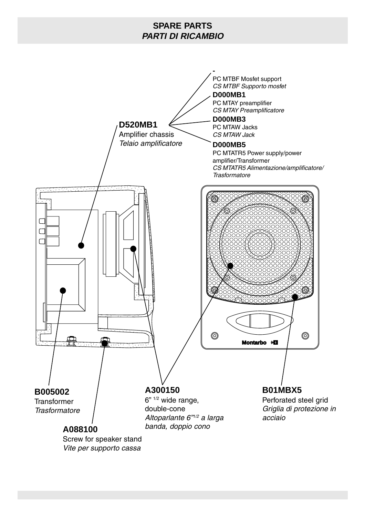### **SPARE PARTS PARTI DI RICAMBIO**

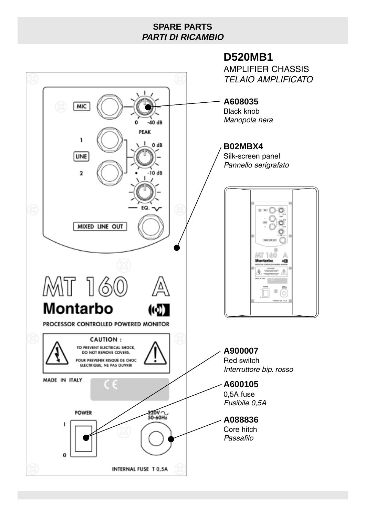### **SPARE PARTS PARTI DI RICAMBIO**

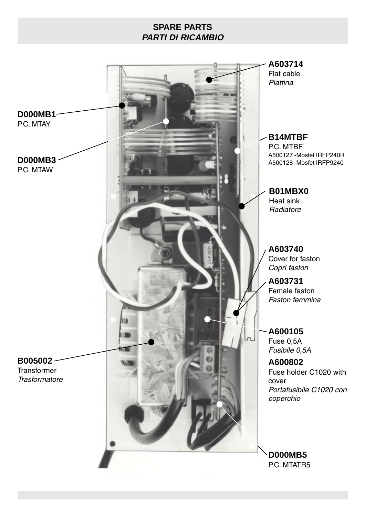### **SPARE PARTS PARTI DI RICAMBIO**

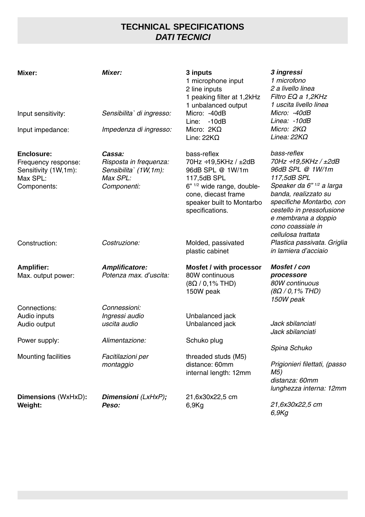### **TECHNICAL SPECIFICATIONS DATI TECNICI**

| Mixer:                                                                                      | Mixer:                                                                                | 3 inputs<br>1 microphone input<br>2 line inputs<br>1 peaking filter at 1,2kHz<br>1 unbalanced output<br>Micro: -40dB                                                                   | 3 ingressi<br>1 microfono<br>2 a livello linea<br>Filtro EQ a 1,2KHz<br>1 uscita livello linea<br>Micro: -40dB                                                                                                                                         |
|---------------------------------------------------------------------------------------------|---------------------------------------------------------------------------------------|----------------------------------------------------------------------------------------------------------------------------------------------------------------------------------------|--------------------------------------------------------------------------------------------------------------------------------------------------------------------------------------------------------------------------------------------------------|
| Input sensitivity:                                                                          | Sensibilita` di ingresso:                                                             | $-10dB$<br>Line:                                                                                                                                                                       | Linea: -10dB                                                                                                                                                                                                                                           |
| Input impedance:                                                                            | Impedenza di ingresso:                                                                | Micro: $2K\Omega$<br>Line: $22K\Omega$                                                                                                                                                 | Micro: $2K\Omega$<br>Linea: $22K\Omega$                                                                                                                                                                                                                |
| <b>Enclosure:</b><br>Frequency response:<br>Sensitivity (1W,1m):<br>Max SPL:<br>Components: | Cassa:<br>Risposta in frequenza:<br>Sensibilita` (1W, 1m):<br>Max SPL:<br>Componenti: | bass-reflex<br>70Hz ÷19,5KHz / ±2dB<br>96dB SPL @ 1W/1m<br>117,5dB SPL<br>6" <sup>1/2</sup> wide range, double-<br>cone, diecast frame<br>speaker built to Montarbo<br>specifications. | bass-reflex<br>70Hz ÷19,5KHz / ±2dB<br>96dB SPL @ 1W/1m<br>117,5dB SPL<br>Speaker da 6" 1/2 a larga<br>banda, realizzato su<br>specifiche Montarbo, con<br>cestello in pressofusione<br>e membrana a doppio<br>cono coassiale in<br>cellulosa trattata |
| Construction:                                                                               | Costruzione:                                                                          | Molded, passivated<br>plastic cabinet                                                                                                                                                  | Plastica passivata. Griglia<br>in lamiera d'acciaio                                                                                                                                                                                                    |
| <b>Amplifier:</b><br>Max. output power:                                                     | <b>Amplificatore:</b><br>Potenza max. d'uscita:                                       | Mosfet / with processor<br>80W continuous<br>$(8\Omega / 0, 1\%$ THD)<br>150W peak                                                                                                     | Mosfet / con<br>processore<br>80W continuous<br>$(8\Omega / 0, 1\%$ THD)<br>150W peak                                                                                                                                                                  |
| Connections:                                                                                | Connessioni:                                                                          |                                                                                                                                                                                        |                                                                                                                                                                                                                                                        |
| Audio inputs<br>Audio output                                                                | Ingressi audio<br>uscita audio                                                        | Unbalanced jack<br>Unbalanced jack                                                                                                                                                     | Jack sbilanciati<br>Jack sbilanciati                                                                                                                                                                                                                   |
| Power supply:                                                                               | Alimentazione:                                                                        | Schuko plug                                                                                                                                                                            |                                                                                                                                                                                                                                                        |
| <b>Mounting facilities</b>                                                                  | Facitilazioni per<br>montaggio                                                        | threaded studs (M5)<br>distance: 60mm<br>internal length: 12mm                                                                                                                         | Spina Schuko<br>Prigionieri filettati, (passo<br>M5)<br>distanza: 60mm<br>lunghezza interna: 12mm                                                                                                                                                      |
| Dimensions (WxHxD):<br>Weight:                                                              | Dimensioni (LxHxP);<br>Peso:                                                          | 21,6x30x22,5 cm<br>6,9Kg                                                                                                                                                               | 21,6x30x22,5 cm<br>6,9Kg                                                                                                                                                                                                                               |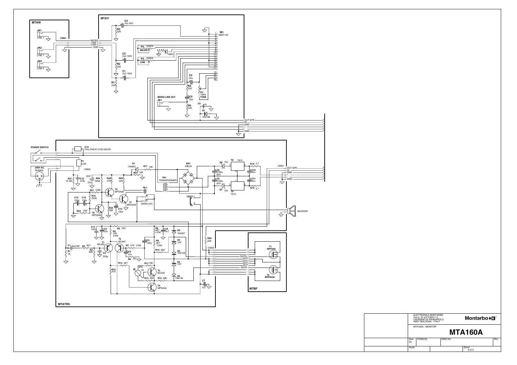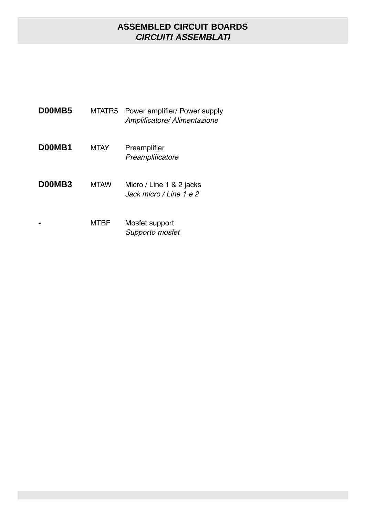### **ASSEMBLED CIRCUIT BOARDS CIRCUITI ASSEMBLATI**

| D00MB5 | MTATR5      | Power amplifier/ Power supply<br>Amplificatore/ Alimentazione |
|--------|-------------|---------------------------------------------------------------|
| D00MB1 | <b>MTAY</b> | Preamplifier<br>Preamplificatore                              |
| D00MB3 | <b>MTAW</b> | Micro / Line 1 & 2 jacks<br>Jack micro / Line 1 e 2           |
|        | MTRF        | Mosfet support<br>Supporto mosfet                             |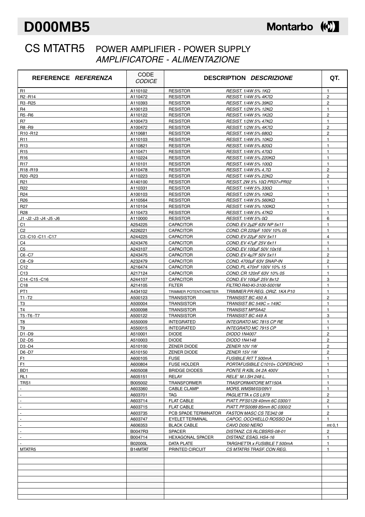### **D000MB5**

### Montarbo (C)

### CS MTATR5 POWER AMPLIFIER - POWER SUPPLY AMPLIFICATORE - ALIMENTAZIONE

| REFERENCE <i>REFERENZA</i>       | CODE<br><b>CODICE</b> |                         | <b>DESCRIPTION DESCRIZIONE</b> | QT.            |
|----------------------------------|-----------------------|-------------------------|--------------------------------|----------------|
| R <sub>1</sub>                   | A110102               | <b>RESISTOR</b>         | RESIST. 1/4W 5% 1ΚΩ            | $\mathbf{1}$   |
| R <sub>2</sub> -R <sub>14</sub>  | A110472               | <b>RESISTOR</b>         | RESIST. 1/4W 5% 4K7Ω           | $\overline{2}$ |
| R <sub>3</sub> -R <sub>25</sub>  | A110393               | <b>RESISTOR</b>         | RESIST. 1/4W 5% 39ΚΩ           | $\overline{2}$ |
| R <sub>4</sub>                   | A100123               | <b>RESISTOR</b>         | RESIST. 1/2W 5% 12ΚΩ           | $\mathbf{1}$   |
| R5-R6                            | A110122               | <b>RESISTOR</b>         | RESIST. 1/4W 5% 1K2Ω           | $\overline{2}$ |
| R7                               | A100473               | <b>RESISTOR</b>         | RESIST. $1/2W$ 5% 47K $\Omega$ | $\mathbf{1}$   |
| R8-R9                            | A100472               | <b>RESISTOR</b>         | RESIST. 1/2W 5% 4K7Ω           | $\overline{c}$ |
| R <sub>10</sub> -R <sub>12</sub> | A110681               | <b>RESISTOR</b>         | RESIST. 1/4W 5% 680Ω           | $\overline{2}$ |
| R <sub>11</sub>                  | A110103               | <b>RESISTOR</b>         | RESIST. 1/4W 5% 10ΚΩ           | $\mathbf{1}$   |
| R <sub>13</sub>                  | A110821               | <b>RESISTOR</b>         | RESIST. 1/4W 5% 820Ω           | $\mathbf{1}$   |
| R <sub>15</sub>                  | A110471               | <b>RESISTOR</b>         | RESIST. 1/4W 5% 470Ω           | $\mathbf{1}$   |
| R <sub>16</sub>                  | A110224               | <b>RESISTOR</b>         | RESIST. 1/4W 5% 220KΩ          | $\mathbf{1}$   |
| <b>R17</b>                       | A110101               | <b>RESISTOR</b>         | RESIST. 1/4W 5% 100Ω           | $\mathbf{1}$   |
| R <sub>18</sub> -R <sub>19</sub> | A110478               | <b>RESISTOR</b>         | RESIST. 1/4W 5% 4,7Ω           | $\overline{2}$ |
| R20-R23                          | A110223               | <b>RESISTOR</b>         | RESIST. $1/4W$ 5% 22K $\Omega$ | $\overline{2}$ |
| R <sub>21</sub>                  | A140100               | <b>RESISTOR</b>         | RESIST. 2W 5% 10Ω PR37=PR02    | $\mathbf{1}$   |
| R <sub>22</sub>                  | A110331               | <b>RESISTOR</b>         | RESIST. 1/4W 5% 330Ω           | $\mathbf{1}$   |
| R <sub>24</sub>                  | A100103               | <b>RESISTOR</b>         | RESIST. 1/2W 5% 10KΩ           | $\mathbf{1}$   |
| R <sub>26</sub>                  | A110564               | <b>RESISTOR</b>         | RESIST. 1/4W 5% 560KΩ          | $\mathbf{1}$   |
| R <sub>27</sub>                  | A110104               | <b>RESISTOR</b>         | RESIST. 1/4W 5% 100KΩ          | $\mathbf{1}$   |
| R <sub>28</sub>                  | A110473               | <b>RESISTOR</b>         | RESIST. 1/4W 5% 47ΚΩ           | $\mathbf{1}$   |
| J1 -J2 -J3 -J4 -J5 -J6           | A110000               | <b>RESISTOR</b>         | RESIST. 1/4W 5% 0Ω             | 6              |
| C <sub>1</sub>                   | A254225               | <b>CAPACITOR</b>        | COND. EV 2u2F 63V NP 5x11      | $\mathbf{1}$   |
| C <sub>2</sub>                   | A226221               | <b>CAPACITOR</b>        | COND. CR 220pF 100V 10% 05     | $\mathbf{1}$   |
| C3-C10-C11-C17                   | A244225               | <b>CAPACITOR</b>        | COND. EV 22uF 50V 5x11         | $\overline{4}$ |
| C4                               | A243476               | <b>CAPACITOR</b>        | COND. EV 47uF 25V 6x11         | $\mathbf{1}$   |
| C <sub>5</sub>                   | A243107               | <b>CAPACITOR</b>        | COND. EV 100uF 50V 10x16       | $\mathbf{1}$   |
| C6-C7                            | A243475               | <b>CAPACITOR</b>        | COND. EV 4u7F 50V 5x11         | $\overline{2}$ |
| C8-C9                            | A232479               | <b>CAPACITOR</b>        | COND. 4700uF 63V SNAP-IN       | $\overline{2}$ |
| C <sub>12</sub>                  | A216474               | <b>CAPACITOR</b>        | COND. PL 470nF 100V 10% 15     | $\mathbf{1}$   |
| C <sub>13</sub>                  | A217124               | <b>CAPACITOR</b>        | COND. CR 120nF 63V 10% 05      | $\mathbf{1}$   |
| C14-C15-C16                      | A244107               | <b>CAPACITOR</b>        | COND. EV 100µF 25V 8x12        | 3              |
| C18                              | A214105               | <b>FILTER</b>           | FILTRO R40-KI-3100-5001M       | $\mathbf{1}$   |
| PT <sub>1</sub>                  | A434102               | TRIMMER POTENTIOMETER   | TRIMMER PR REG. ORIZ. 1KA P10  | $\mathbf{1}$   |
| $T1 - T2$                        | A500123               | <b>TRANSISTOR</b>       | TRANSIST BC 450 A              | $\overline{2}$ |
| T3                               | A500004               | <b>TRANSISTOR</b>       | TRANSIST BC 549C = 149C        | $\mathbf{1}$   |
| T <sub>4</sub>                   | A500098               | <b>TRANSISTOR</b>       | <b>TRANSIST MPSA42</b>         | $\mathbf{1}$   |
| T5-T6-T7                         | A500122               | <b>TRANSISTOR</b>       | TRANSIST BC 449 A              | 3              |
| T <sub>8</sub>                   | A550009               | <b>INTEGRATED</b>       | INTEGRATO MC 7815 CP RE        | $\mathbf{1}$   |
| T9                               | A550015               | <b>INTEGRATED</b>       | <b>INTEGRATO MC 7915 CP</b>    | $\mathbf{1}$   |
| D1-D9                            | A510001               | <b>DIODE</b>            | <b>DIODO 1N4007</b>            | $\overline{2}$ |
| D <sub>2</sub> - D <sub>5</sub>  | A510003               | <b>DIODE</b>            | <b>DIODO 1N4148</b>            | $\overline{2}$ |
| D3 - D4                          | A510100               | <b>ZENER DIODE</b>      | <u>ZENER 10V 1W</u>            | 2              |
| D6-D7                            | A510150               | ZENER DIODE             | ZENER 15V 1W                   | $\overline{c}$ |
| F <sub>1</sub>                   | A600105               | <b>FUSE</b>             | <b>FUSIBILE RITT 500mA</b>     | $\mathbf{1}$   |
| F <sub>1</sub>                   | A600804               | <b>FUSE HOLDER</b>      | PORTAFUSIBILE C1010+ COPERCHIO | $\mathbf{1}$   |
| BD1                              | A605008               | <b>BRIDGE DIODES</b>    | PONTE R KBL 04 2A 400V         | $\mathbf{1}$   |
| RL <sub>1</sub>                  | A605151               | RELAY                   | RELE` M.I.SH 248 L.            | $\mathbf{1}$   |
| TRS1                             | B005002               | <b>TRANSFORMER</b>      | TRASFORMATORE MT150A           | $\mathbf{1}$   |
|                                  | A603360               | <b>CABLE CLAMP</b>      | MORS. WMSM/03/09V1             | $\mathbf{1}$   |
| $\blacksquare$                   | A603701               | TAG                     | PAGLIETTA x CS L979            | $\mathbf{2}$   |
|                                  | A603714               | <b>FLAT CABLE</b>       | PIATT. PFS0129 40mm 6C 0300/1  | $\mathbf{2}$   |
| $\overline{\phantom{a}}$         | A603715               | <b>FLAT CABLE</b>       | PIATT. PFS0089 85mm 8C 0300/2  | $\mathbf{1}$   |
| $\blacksquare$                   | A603735               | PCB SPADE TERMINATOR    | FASTON MASC CS TE342 08        | $\overline{c}$ |
|                                  | A603747               | EYELET TERMINAL         | CAPOC. OCCHIELLO ROSSO D4      | $\mathbf{1}$   |
| $\overline{\phantom{a}}$         | A606353               | <b>BLACK CABLE</b>      | CAVO D050 NERO                 | mt 0,1         |
| $\blacksquare$                   | B0047R3               | SPACER                  | DISTANZ. CS RLCBSRS-08-01      | $\overline{2}$ |
| $\mathbf{r}$                     | B004714               | <b>HEXAGONAL SPACER</b> | DISTANZ. ESAG. HS4-16          | $\mathbf{1}$   |
|                                  | B02000L               | DATA PLATE              | TARGHETTA x FUSIBILE T 500mA   | $\mathbf{1}$   |
| MTATR5                           | B14MTAT               | PRINTED CIRCUIT         | CS MTATR5 TRASF. CON REG.      | $\mathbf{1}$   |
|                                  |                       |                         |                                |                |
|                                  |                       |                         |                                |                |
|                                  |                       |                         |                                |                |
|                                  |                       |                         |                                |                |
|                                  |                       |                         |                                |                |
|                                  |                       |                         |                                |                |
|                                  |                       |                         |                                |                |
|                                  |                       |                         |                                |                |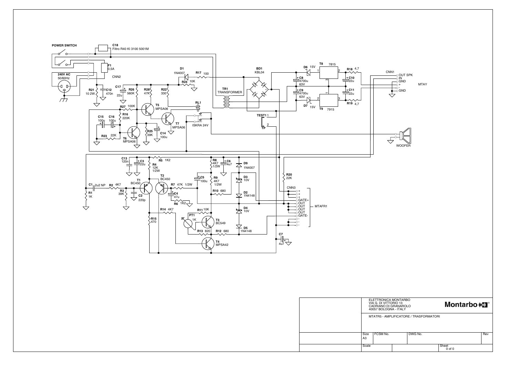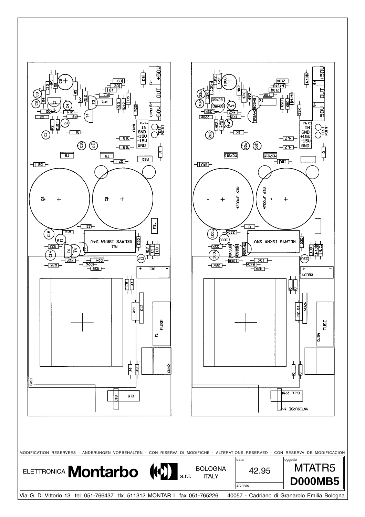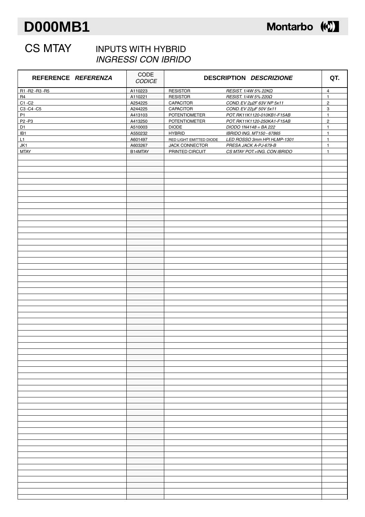### **D000MB1**



### CS MTAY INPUTS WITH HYBRID INGRESSI CON IBRIDO

| REFERENCE REFERENZA            | CODE<br><b>CODICE</b> |                         | DESCRIPTION DESCRIZIONE      | QT.            |
|--------------------------------|-----------------------|-------------------------|------------------------------|----------------|
| R1-R2-R3-R5                    | A110223               | <b>RESISTOR</b>         | RESIST. 1/4W 5% 22ΚΩ         | $\overline{4}$ |
| <b>R4</b>                      | A110221               | <b>RESISTOR</b>         | RESIST. 1/4W 5% 220Ω         | $\mathbf{1}$   |
| $C1 - C2$                      | A254225               | <b>CAPACITOR</b>        | COND. EV 2µ2F 63V NP 5x11    | $\overline{c}$ |
| C3-C4-C5                       | A244225               | <b>CAPACITOR</b>        | COND. EV 22µF 50V 5x11       | 3              |
| <b>P1</b>                      | A413103               | <b>POTENTIOMETER</b>    | POT. RK11K1120-010KB1-F15AB  | $\mathbf{1}$   |
| P <sub>2</sub> -P <sub>3</sub> | A413250               | <b>POTENTIOMETER</b>    | POT. RK11K1120-250KA1-F15AB  | $\overline{c}$ |
| D <sub>1</sub>                 | A510003               | <b>DIODE</b>            | DIODO 1N4148 = BA 222        | $\mathbf{1}$   |
| IB <sub>1</sub>                | A550232               | <b>HYBRID</b>           | IBRIDO ING. MT150 - 67865    | $\mathbf{1}$   |
| L1                             | A601497               | RED LIGHT EMITTED DIODE | LED ROSSO 3mm HPI HLMP-1301  | $\mathbf{1}$   |
| JK1                            | A603267               | JACK CONNECTOR          | PRESA JACK A-PJ-679-B        | $\mathbf{1}$   |
| <b>MTAY</b>                    | B14MTAY               | PRINTED CIRCUIT         | CS MTAY POT.+ING. CON IBRIDO | $\mathbf{1}$   |
|                                |                       |                         |                              |                |
|                                |                       |                         |                              |                |
|                                |                       |                         |                              |                |
|                                |                       |                         |                              |                |
|                                |                       |                         |                              |                |
|                                |                       |                         |                              |                |
|                                |                       |                         |                              |                |
|                                |                       |                         |                              |                |
|                                |                       |                         |                              |                |
|                                |                       |                         |                              |                |
|                                |                       |                         |                              |                |
|                                |                       |                         |                              |                |
|                                |                       |                         |                              |                |
|                                |                       |                         |                              |                |
|                                |                       |                         |                              |                |
|                                |                       |                         |                              |                |
|                                |                       |                         |                              |                |
|                                |                       |                         |                              |                |
|                                |                       |                         |                              |                |
|                                |                       |                         |                              |                |
|                                |                       |                         |                              |                |
|                                |                       |                         |                              |                |
|                                |                       |                         |                              |                |
|                                |                       |                         |                              |                |
|                                |                       |                         |                              |                |
|                                |                       |                         |                              |                |
|                                |                       |                         |                              |                |
|                                |                       |                         |                              |                |
|                                |                       |                         |                              |                |
|                                |                       |                         |                              |                |
|                                |                       |                         |                              |                |
|                                |                       |                         |                              |                |
|                                |                       |                         |                              |                |
|                                |                       |                         |                              |                |
|                                |                       |                         |                              |                |
|                                |                       |                         |                              |                |
|                                |                       |                         |                              |                |
|                                |                       |                         |                              |                |
|                                |                       |                         |                              |                |
|                                |                       |                         |                              |                |
|                                |                       |                         |                              |                |
|                                |                       |                         |                              |                |
|                                |                       |                         |                              |                |
|                                |                       |                         |                              |                |
|                                |                       |                         |                              |                |
|                                |                       |                         |                              |                |
|                                |                       |                         |                              |                |
|                                |                       |                         |                              |                |
|                                |                       |                         |                              |                |
|                                |                       |                         |                              |                |
|                                |                       |                         |                              |                |
|                                |                       |                         |                              |                |
|                                |                       |                         |                              |                |
|                                |                       |                         |                              |                |
|                                |                       |                         |                              |                |
|                                |                       |                         |                              |                |
|                                |                       |                         |                              |                |
|                                |                       |                         |                              |                |
|                                |                       |                         |                              |                |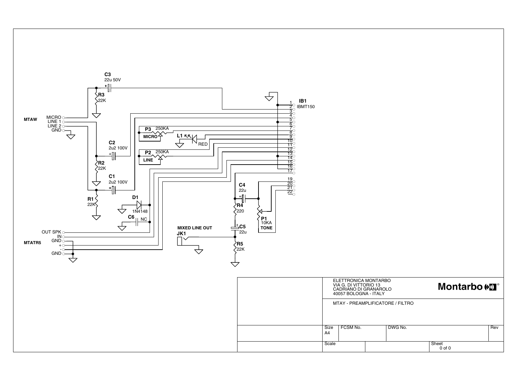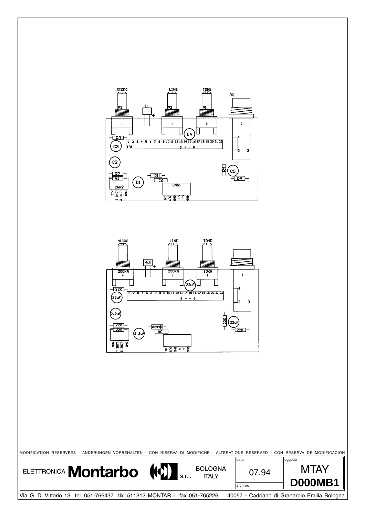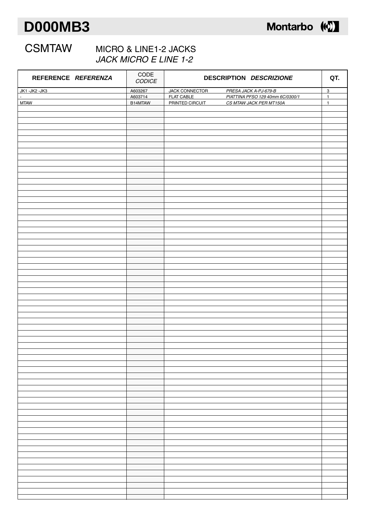### **D000MB3**



### CSMTAW MICRO & LINE1-2 JACKS JACK MICRO E LINE 1-2

| REFERENCE REFERENZA   | $\sf{CODE}$<br>CODICE | DESCRIPTION DESCRIZIONE                                                                   |                                  |
|-----------------------|-----------------------|-------------------------------------------------------------------------------------------|----------------------------------|
| JK1-JK2-JK3<br>$\sim$ | A603267<br>A603714    | JACK CONNECTOR<br>PRESA JACK A-PJ-679-B<br>PIATTINA PFSO 129 40mm 6C/0300/1<br>FLAT CABLE | $\overline{3}$<br>$\overline{1}$ |
| <b>MTAW</b>           | B14MTAW               | <b>PRINTED CIRCUIT</b><br>CS MTAW JACK PER MT150A                                         | $\mathbf{1}$                     |
|                       |                       |                                                                                           |                                  |
|                       |                       |                                                                                           |                                  |
|                       |                       |                                                                                           |                                  |
|                       |                       |                                                                                           |                                  |
|                       |                       |                                                                                           |                                  |
|                       |                       |                                                                                           |                                  |
|                       |                       |                                                                                           |                                  |
|                       |                       |                                                                                           |                                  |
|                       |                       |                                                                                           |                                  |
|                       |                       |                                                                                           |                                  |
|                       |                       |                                                                                           |                                  |
|                       |                       |                                                                                           |                                  |
|                       |                       |                                                                                           |                                  |
|                       |                       |                                                                                           |                                  |
|                       |                       |                                                                                           |                                  |
|                       |                       |                                                                                           |                                  |
|                       |                       |                                                                                           |                                  |
|                       |                       |                                                                                           |                                  |
|                       |                       |                                                                                           |                                  |
|                       |                       |                                                                                           |                                  |
|                       |                       |                                                                                           |                                  |
|                       |                       |                                                                                           |                                  |
|                       |                       |                                                                                           |                                  |
|                       |                       |                                                                                           |                                  |
|                       |                       |                                                                                           |                                  |
|                       |                       |                                                                                           |                                  |
|                       |                       |                                                                                           |                                  |
|                       |                       |                                                                                           |                                  |
|                       |                       |                                                                                           |                                  |
|                       |                       |                                                                                           |                                  |
|                       |                       |                                                                                           |                                  |
|                       |                       |                                                                                           |                                  |
|                       |                       |                                                                                           |                                  |
|                       |                       |                                                                                           |                                  |
|                       |                       |                                                                                           |                                  |
|                       |                       |                                                                                           |                                  |
|                       |                       |                                                                                           |                                  |
|                       |                       |                                                                                           |                                  |
|                       |                       |                                                                                           |                                  |
|                       |                       |                                                                                           |                                  |
|                       |                       |                                                                                           |                                  |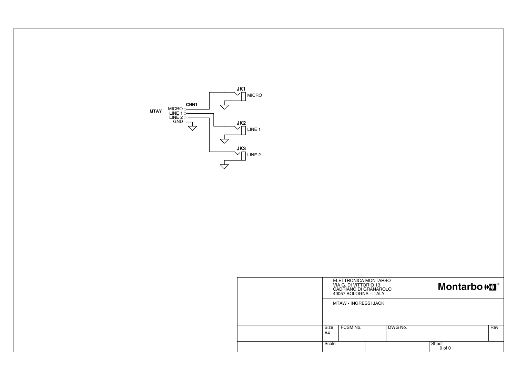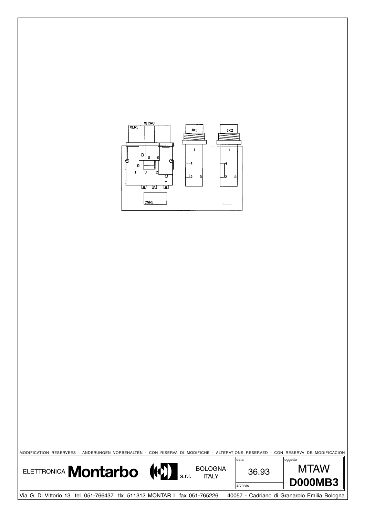

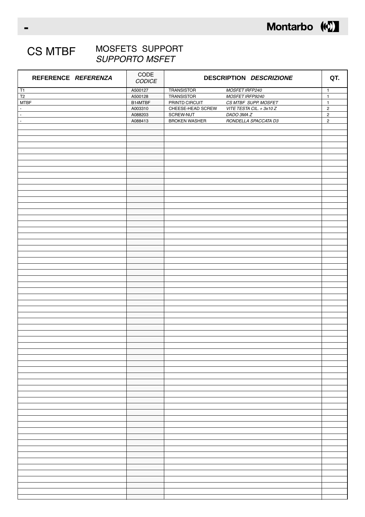

#### CS MTBF MOSFETS SUPPORT SUPPORTO MSFET

| REFERENCE REFERENZA       | $\sf{CODE}$<br>CODICE | DESCRIPTION DESCRIZIONE |                          | QT.            |
|---------------------------|-----------------------|-------------------------|--------------------------|----------------|
| T1                        | A500127               | <b>TRANSISTOR</b>       | MOSFET IRFP240           | $\overline{1}$ |
| $\mathsf{T2}$             | A500128               | <b>TRANSISTOR</b>       | MOSFET IRFP9240          | $\mathbf{1}$   |
| <b>MTBF</b>               | B14MTBF               | PRINTD CIRCUIT          | CS MTBF SUPP. MOSFET     | $\mathbf 1$    |
| $\mathbb{Z}^{\mathbb{Z}}$ | A003310               | CHEESE-HEAD SCREW       | VITE TESTA CIL. + 3x10 Z | $\mathbf 2$    |
|                           |                       |                         |                          |                |
| $\sim$                    | A088203               | SCREW-NUT               | DADO 3MA Z               | $\overline{c}$ |
| $\blacksquare$            | A088413               | <b>BROKEN WASHER</b>    | RONDELLA SPACCATA D3     | $\mathbf 2$    |
|                           |                       |                         |                          |                |
|                           |                       |                         |                          |                |
|                           |                       |                         |                          |                |
|                           |                       |                         |                          |                |
|                           |                       |                         |                          |                |
|                           |                       |                         |                          |                |
|                           |                       |                         |                          |                |
|                           |                       |                         |                          |                |
|                           |                       |                         |                          |                |
|                           |                       |                         |                          |                |
|                           |                       |                         |                          |                |
|                           |                       |                         |                          |                |
|                           |                       |                         |                          |                |
|                           |                       |                         |                          |                |
|                           |                       |                         |                          |                |
|                           |                       |                         |                          |                |
|                           |                       |                         |                          |                |
|                           |                       |                         |                          |                |
|                           |                       |                         |                          |                |
|                           |                       |                         |                          |                |
|                           |                       |                         |                          |                |
|                           |                       |                         |                          |                |
|                           |                       |                         |                          |                |
|                           |                       |                         |                          |                |
|                           |                       |                         |                          |                |
|                           |                       |                         |                          |                |
|                           |                       |                         |                          |                |
|                           |                       |                         |                          |                |
|                           |                       |                         |                          |                |
|                           |                       |                         |                          |                |
|                           |                       |                         |                          |                |
|                           |                       |                         |                          |                |
|                           |                       |                         |                          |                |
|                           |                       |                         |                          |                |
|                           |                       |                         |                          |                |
|                           |                       |                         |                          |                |
|                           |                       |                         |                          |                |
|                           |                       |                         |                          |                |
|                           |                       |                         |                          |                |
|                           |                       |                         |                          |                |
|                           |                       |                         |                          |                |
|                           |                       |                         |                          |                |
|                           |                       |                         |                          |                |
|                           |                       |                         |                          |                |
|                           |                       |                         |                          |                |
|                           |                       |                         |                          |                |
|                           |                       |                         |                          |                |
|                           |                       |                         |                          |                |
|                           |                       |                         |                          |                |
|                           |                       |                         |                          |                |
|                           |                       |                         |                          |                |
|                           |                       |                         |                          |                |
|                           |                       |                         |                          |                |
|                           |                       |                         |                          |                |
|                           |                       |                         |                          |                |
|                           |                       |                         |                          |                |
|                           |                       |                         |                          |                |
|                           |                       |                         |                          |                |
|                           |                       |                         |                          |                |
|                           |                       |                         |                          |                |
|                           |                       |                         |                          |                |
|                           |                       |                         |                          |                |
|                           |                       |                         |                          |                |
|                           |                       |                         |                          |                |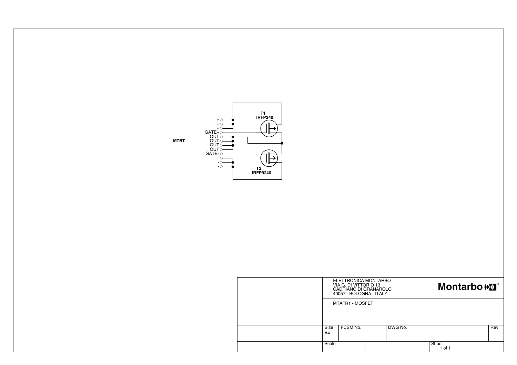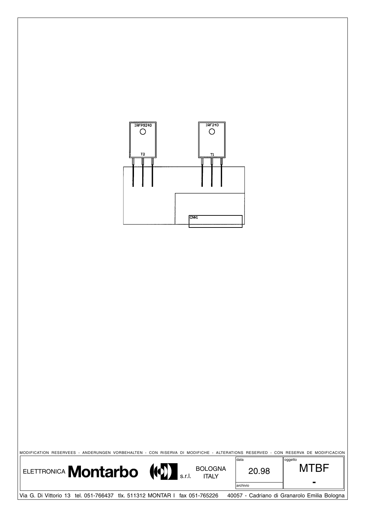